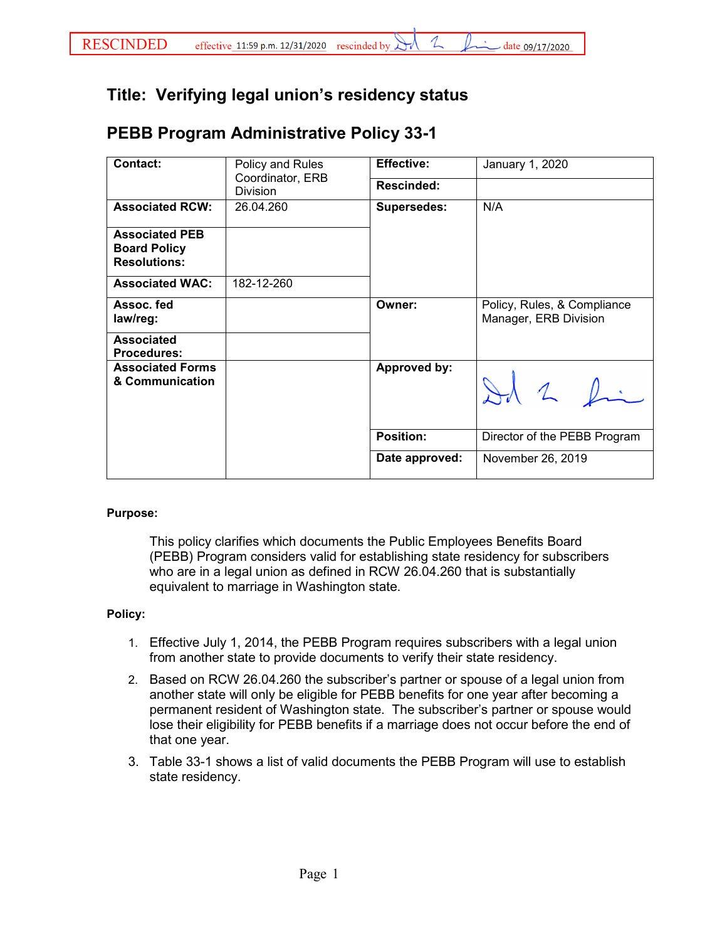## **Title: Verifying legal union's residency status**

## **PEBB Program Administrative Policy 33-1**

| <b>Contact:</b>                                                     | Policy and Rules<br>Coordinator, ERB<br><b>Division</b> | <b>Effective:</b>   | January 1, 2020                                      |
|---------------------------------------------------------------------|---------------------------------------------------------|---------------------|------------------------------------------------------|
|                                                                     |                                                         | Rescinded:          |                                                      |
| <b>Associated RCW:</b>                                              | 26.04.260                                               | <b>Supersedes:</b>  | N/A                                                  |
| <b>Associated PEB</b><br><b>Board Policy</b><br><b>Resolutions:</b> |                                                         |                     |                                                      |
| <b>Associated WAC:</b>                                              | 182-12-260                                              |                     |                                                      |
| Assoc. fed<br>law/reg:                                              |                                                         | Owner:              | Policy, Rules, & Compliance<br>Manager, ERB Division |
| <b>Associated</b><br><b>Procedures:</b>                             |                                                         |                     |                                                      |
| <b>Associated Forms</b><br>& Communication                          |                                                         | <b>Approved by:</b> | Id 2 fin                                             |
|                                                                     |                                                         | <b>Position:</b>    | Director of the PEBB Program                         |
|                                                                     |                                                         | Date approved:      | November 26, 2019                                    |

## **Purpose:**

This policy clarifies which documents the Public Employees Benefits Board (PEBB) Program considers valid for establishing state residency for subscribers who are in a legal union as defined in RCW 26.04.260 that is substantially equivalent to marriage in Washington state.

## **Policy:**

- 1. Effective July 1, 2014, the PEBB Program requires subscribers with a legal union from another state to provide documents to verify their state residency.
- 2. Based on RCW 26.04.260 the subscriber's partner or spouse of a legal union from another state will only be eligible for PEBB benefits for one year after becoming a permanent resident of Washington state. The subscriber's partner or spouse would lose their eligibility for PEBB benefits if a marriage does not occur before the end of that one year.
- 3. Table 33-1 shows a list of valid documents the PEBB Program will use to establish state residency.